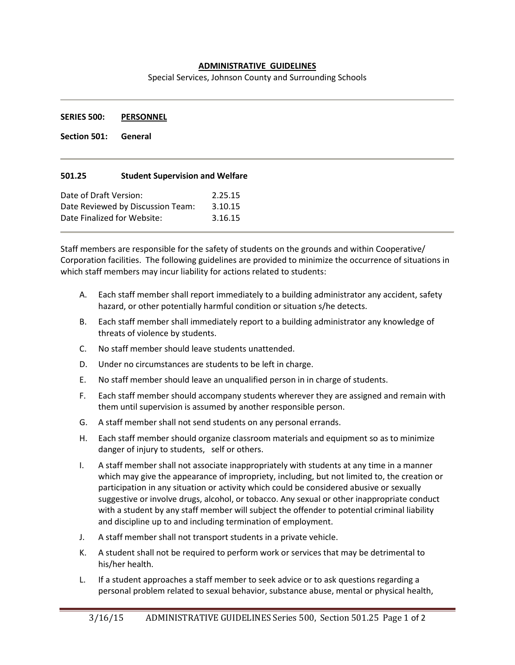## **ADMINISTRATIVE GUIDELINES**

Special Services, Johnson County and Surrounding Schools

**SERIES 500: PERSONNEL**

**Section 501: General**

## **501.25 Student Supervision and Welfare**

| Date of Draft Version:            | 2.25.15 |
|-----------------------------------|---------|
| Date Reviewed by Discussion Team: | 3.10.15 |
| Date Finalized for Website:       | 3.16.15 |

Staff members are responsible for the safety of students on the grounds and within Cooperative/ Corporation facilities. The following guidelines are provided to minimize the occurrence of situations in which staff members may incur liability for actions related to students:

- A. Each staff member shall report immediately to a building administrator any accident, safety hazard, or other potentially harmful condition or situation s/he detects.
- B. Each staff member shall immediately report to a building administrator any knowledge of threats of violence by students.
- C. No staff member should leave students unattended.
- D. Under no circumstances are students to be left in charge.
- E. No staff member should leave an unqualified person in in charge of students.
- F. Each staff member should accompany students wherever they are assigned and remain with them until supervision is assumed by another responsible person.
- G. A staff member shall not send students on any personal errands.
- H. Each staff member should organize classroom materials and equipment so as to minimize danger of injury to students, self or others.
- I. A staff member shall not associate inappropriately with students at any time in a manner which may give the appearance of impropriety, including, but not limited to, the creation or participation in any situation or activity which could be considered abusive or sexually suggestive or involve drugs, alcohol, or tobacco. Any sexual or other inappropriate conduct with a student by any staff member will subject the offender to potential criminal liability and discipline up to and including termination of employment.
- J. A staff member shall not transport students in a private vehicle.
- K. A student shall not be required to perform work or services that may be detrimental to his/her health.
- L. If a student approaches a staff member to seek advice or to ask questions regarding a personal problem related to sexual behavior, substance abuse, mental or physical health,